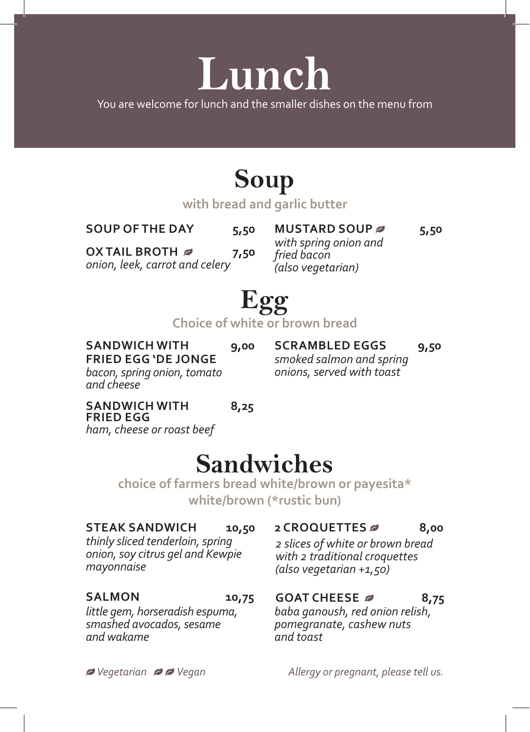# **Lunch**

You are welcome for lunch and the smaller dishes on the menu from

### **Soup**

**with bread and garlic butter**

**SOUP OF THE DAY 5,50**

**OX TAIL BROTH 7,50** *(also vegetarian) onion, leek, carrot and celery*

**MUSTARD SOUP** *5***,50** *with spring onion and fried bacon* 

## **Egg**

**Choice of white or brown bread** 

#### **SANDWICH WITH 9,00 FRIED EGG 'DE JONGE** *bacon, spring onion, tomato*

**SCRAMBLED EGGS 9,50** *smoked salmon and spring onions, served with toast*

#### **SANDWICH WITH 8,25 FRIED EGG**

*and cheese*

*ham, cheese or roast beef*

### **Sandwiches**

**choice of farmers bread white/brown or payesita\* white/brown (\*rustic bun)**

#### **STEAK SANDWICH 10,50**

*thinly sliced tenderloin, spring onion, soy citrus gel and Kewpie mayonnaise*

#### **SALMON 10,75**

*little gem, horseradish espuma, smashed avocados, sesame and wakame*

#### **2 CROQUETTES 8,00**

*2 slices of white or brown bread with 2 traditional croquettes (also vegetarian +1,50)*

#### **GOAT CHEESE 8,75**

*baba ganoush, red onion relish, pomegranate, cashew nuts and toast*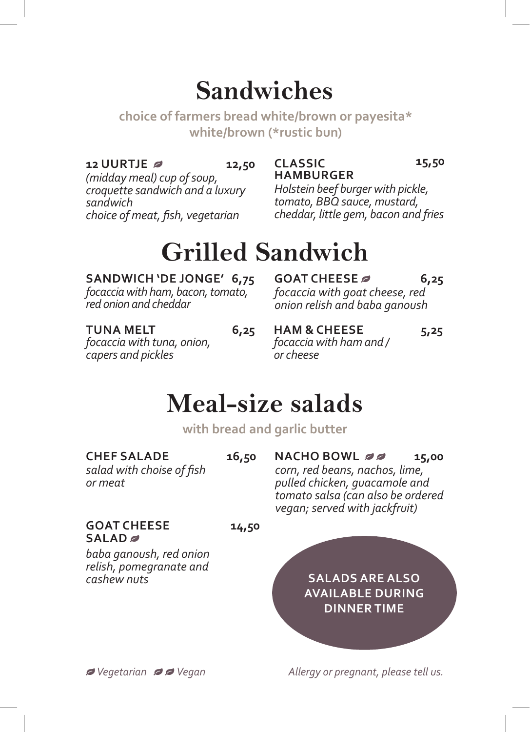### **Sandwiches**

**choice of farmers bread white/brown or payesita\* white/brown (\*rustic bun)**

> **CLASSIC HAMBURGER**

#### **12 UURTJE 2 12,50 CLASSIC 15,50**

*(midday meal) cup of soup, croquette sandwich and a luxury sandwich choice of meat, fish, vegetarian*

#### *Holstein beef burger with pickle, tomato, BBQ sauce, mustard, cheddar, little gem, bacon and fries*

### **Grilled Sandwich**

#### **SANDWICH 'DE JONGE' 6,75**

*focaccia with ham, bacon, tomato, red onion and cheddar*

**GOAT CHEESE 6,25** *focaccia with goat cheese, red onion relish and baba ganoush*

*focaccia with tuna, onion,* 

*capers and pickles*

**TUNA MELT 6,25 HAM & CHEESE 5,25** *focaccia with ham and / or cheese*

### **Meal-size salads**

**with bread and garlic butter**

#### CHEF SALADE 16,50

*salad with choise of fish or meat*

#### GOAT CHEESE 14,50 **SALAD**

*baba ganoush, red onion relish, pomegranate and cashew nuts*

*corn, red beans, nachos, lime, pulled chicken, guacamole and tomato salsa (can also be ordered vegan; served with jackfruit)* 

**NACHO BOWL 22** 15,00

**SALADS ARE ALSO AVAILABLE DURING DINNER TIME**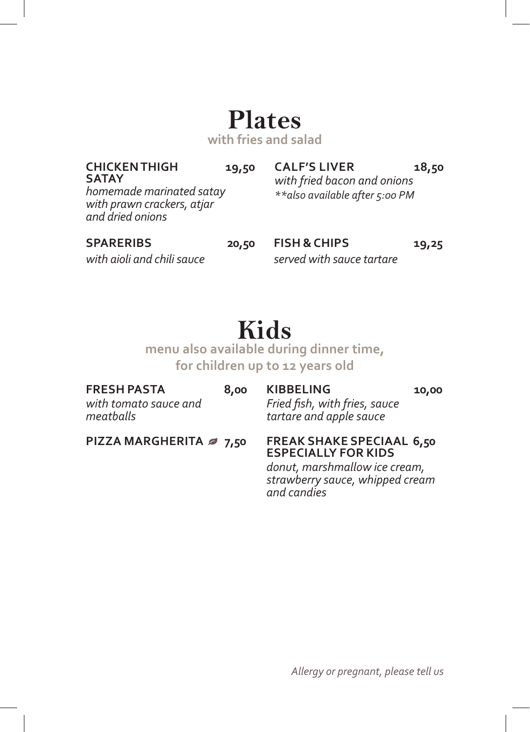### **Plates**

**with fries and salad**

#### **CHICKEN THIGH 19,50 SATAY**

**CALF'S LIVER 18,50** *with fried bacon and onions \*\*also available after 5:00 PM*

*homemade marinated satay with prawn crackers, atjar and dried onions*

#### **SPARERIBS 20,50 FISH & CHIPS 19,25**

*with aioli and chili sauce served with sauce tartare*

### **Kids**

**menu also available during dinner time, for children up to 12 years old**

| FRESH PASTA<br>with tomato sauce and<br>meatballs | 8,00 | <b>KIBBELING</b><br>Fried fish, with fries, sauce<br>tartare and apple sauce | 10,00 |
|---------------------------------------------------|------|------------------------------------------------------------------------------|-------|
| PIZZA MARGHERITA 2 7,50                           |      | <b>FREAK SHAKE SPECIAAL 6,50</b><br><b>ESPECIALLY FOR KIDS</b>               |       |

*donut, marshmallow ice cream, strawberry sauce, whipped cream and candies*

*Allergy or pregnant, please tell us*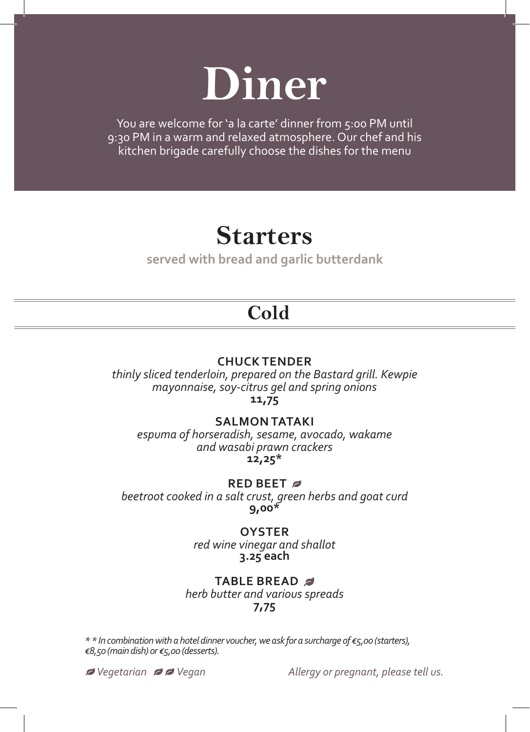

You are welcome for 'a la carte' dinner from 5:00 PM until 9:30 PM in a warm and relaxed atmosphere. Our chef and his kitchen brigade carefully choose the dishes for the menu

### **Starters**

**served with bread and garlic butterdank**

### **Cold**

#### **CHUCK TENDER**

*thinly sliced tenderloin, prepared on the Bastard grill. Kewpie mayonnaise, soy-citrus gel and spring onions* **11,75** 

#### **SALMON TATAKI**

*espuma of horseradish, sesame, avocado, wakame and wasabi prawn crackers* **12,25\***

#### **RED BEET**

*beetroot cooked in a salt crust, green herbs and goat curd*  **9,00\***

> **OYSTER** *red wine vinegar and shallot* **3.25 each**

#### **TABLE BREAD**

*herb butter and various spreads* **7,75**

*\* \* In combination with a hotel dinner voucher, we ask for a surcharge of €5,00 (starters), €8,50 (main dish) or €5,00 (desserts).*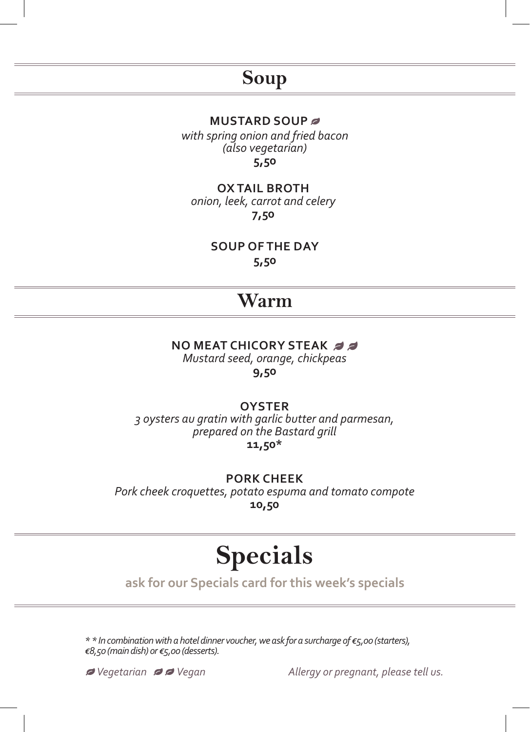### **Soup**

#### **MUSTARD SOUP**

**5,50** *with spring onion and fried bacon (also vegetarian)*

#### **OX TAIL BROTH**

*onion, leek, carrot and celery* **7,50**

**SOUP OF THE DAY** 

**5,50**

### **Warm**

### **NO MEAT CHICORY STEAK** *Mustard seed, orange, chickpeas*

**9,50**

#### **OYSTER**

*3 oysters au gratin with garlic butter and parmesan, prepared on the Bastard grill* **11,50\***

**PORK CHEEK** *Pork cheek croquettes, potato espuma and tomato compote* **10,50**

### **Specials**

**ask for our Specials card for this week's specials**

*\* \* In combination with a hotel dinner voucher, we ask for a surcharge of €5,00 (starters), €8,50 (main dish) or €5,00 (desserts).*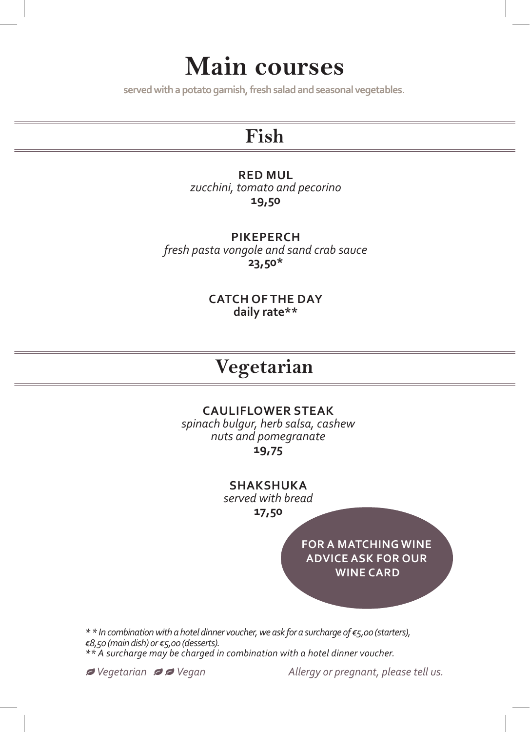### **Main courses**

**served with a potato garnish, fresh salad and seasonal vegetables.**

### **Fish**

#### **RED MUL**

*zucchini, tomato and pecorino* **19,50**

#### **PIKEPERCH**

*fresh pasta vongole and sand crab sauce* **23,50\***

> **CATCH OF THE DAY daily rate\*\***

### **Vegetarian**

#### **CAULIFLOWER STEAK**

*spinach bulgur, herb salsa, cashew nuts and pomegranate* **19,75**

**SHAKSHUKA** 

*served with bread*

**17,50**

**FOR A MATCHING WINE ADVICE ASK FOR OUR WINE CARD**

*\* \* In combination with a hotel dinner voucher, we ask for a surcharge of €5,00 (starters), €8,50 (main dish) or €5,00 (desserts). \*\* A surcharge may be charged in combination with a hotel dinner voucher.*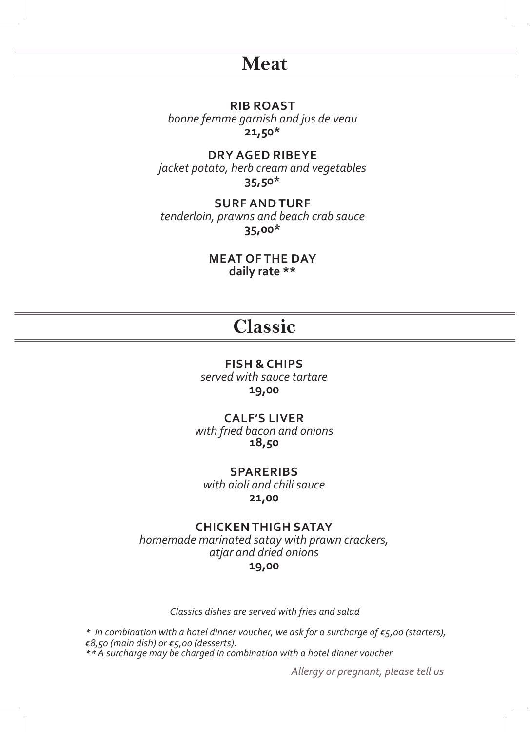### **Meat**

**RIB ROAST** *bonne femme garnish and jus de veau* **21,50\***

**DRY AGED RIBEYE** *jacket potato, herb cream and vegetables* **35,50\***

**SURF AND TURF** *tenderloin, prawns and beach crab sauce* **35,00\***

> **MEAT OF THE DAY daily rate \*\***

### **Classic**

#### **FISH & CHIPS**

*served with sauce tartare* **19,00**

**CALF'S LIVER** 

*with fried bacon and onions*  **18,50**

**SPARERIBS**

*with aioli and chili sauce* **21,00**

#### **CHICKEN THIGH SATAY**

*homemade marinated satay with prawn crackers, atjar and dried onions* **19,00**

*Classics dishes are served with fries and salad*

*\* In combination with a hotel dinner voucher, we ask for a surcharge of €5,00 (starters), €8,50 (main dish) or €5,00 (desserts). \*\* A surcharge may be charged in combination with a hotel dinner voucher.*

*Allergy or pregnant, please tell us*